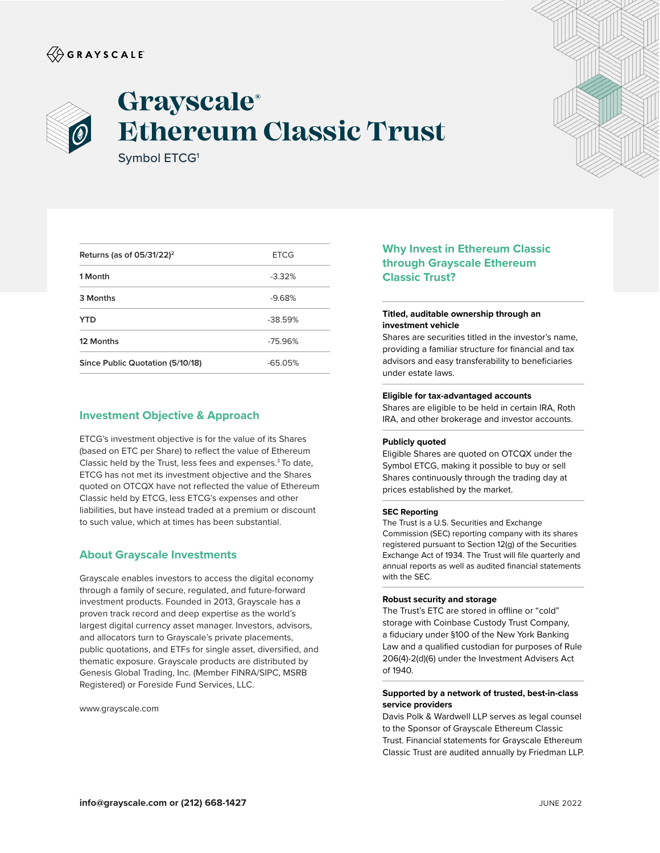# $\langle\!\!\!\langle\hat{\mathbin{\hspace{1.5pt}\circ}}$  G R A Y S C A L E



# **Grayscale® Ethereum Classic Trust**

Symbol ETCG1

| Returns (as of $05/31/22$ ) <sup>2</sup> | <b>ETCG</b> |
|------------------------------------------|-------------|
| 1 Month                                  | $-3.32%$    |
| 3 Months                                 | $-9.68%$    |
| <b>YTD</b>                               | $-38.59%$   |
| 12 Months                                | $-75.96%$   |
| Since Public Quotation (5/10/18)         | $-65.05%$   |

# **Investment Objective & Approach**

ETCG's investment objective is for the value of its Shares (based on ETC per Share) to reflect the value of Ethereum Classic held by the Trust, less fees and expenses.3 To date, ETCG has not met its investment objective and the Shares quoted on OTCQX have not reflected the value of Ethereum Classic held by ETCG, less ETCG's expenses and other liabilities, but have instead traded at a premium or discount to such value, which at times has been substantial.

### **About Grayscale Investments**

Grayscale enables investors to access the digital economy through a family of secure, regulated, and future-forward investment products. Founded in 2013, Grayscale has a proven track record and deep expertise as the world's largest digital currency asset manager. Investors, advisors, and allocators turn to Grayscale's private placements, public quotations, and ETFs for single asset, diversified, and thematic exposure. Grayscale products are distributed by Genesis Global Trading, Inc. (Member FINRA/SIPC, MSRB Registered) or Foreside Fund Services, LLC.

www.grayscale.com

# **Why Invest in Ethereum Classic through Grayscale Ethereum Classic Trust?**

#### **Titled, auditable ownership through an investment vehicle**

Shares are securities titled in the investor's name, providing a familiar structure for financial and tax advisors and easy transferability to beneficiaries under estate laws.

#### **Eligible for tax-advantaged accounts**

Shares are eligible to be held in certain IRA, Roth IRA, and other brokerage and investor accounts.

#### **Publicly quoted**

Eligible Shares are quoted on OTCQX under the Symbol ETCG, making it possible to buy or sell Shares continuously through the trading day at prices established by the market.

#### **SEC Reporting**

The Trust is a U.S. Securities and Exchange Commission (SEC) reporting company with its shares registered pursuant to Section 12(g) of the Securities Exchange Act of 1934. The Trust will file quarterly and annual reports as well as audited financial statements with the SEC.

#### **Robust security and storage**

The Trust's ETC are stored in offline or "cold" storage with Coinbase Custody Trust Company, a fiduciary under §100 of the New York Banking Law and a qualified custodian for purposes of Rule 206(4)-2(d)(6) under the Investment Advisers Act of 1940.

#### **Supported by a network of trusted, best-in-class service providers**

Davis Polk & Wardwell LLP serves as legal counsel to the Sponsor of Grayscale Ethereum Classic Trust. Financial statements for Grayscale Ethereum Classic Trust are audited annually by Friedman LLP.